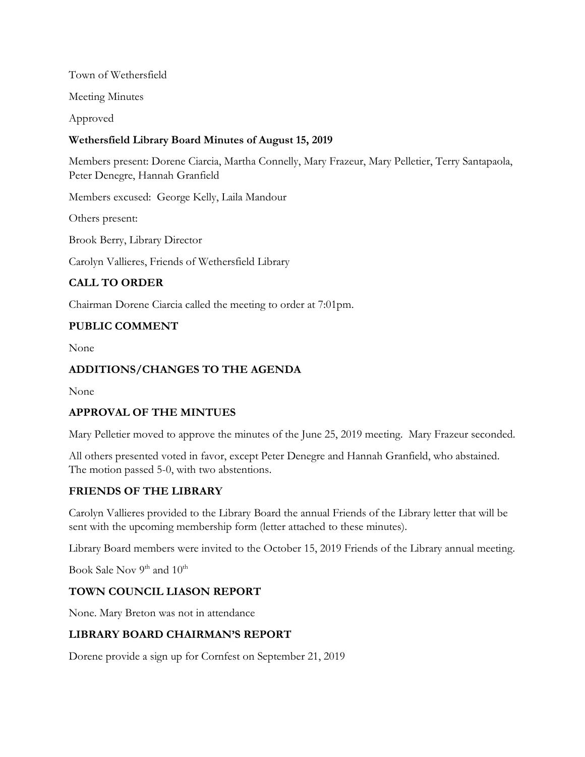Town of Wethersfield

Meeting Minutes

Approved

## **Wethersfield Library Board Minutes of August 15, 2019**

Members present: Dorene Ciarcia, Martha Connelly, Mary Frazeur, Mary Pelletier, Terry Santapaola, Peter Denegre, Hannah Granfield

Members excused: George Kelly, Laila Mandour

Others present:

Brook Berry, Library Director

Carolyn Vallieres, Friends of Wethersfield Library

# **CALL TO ORDER**

Chairman Dorene Ciarcia called the meeting to order at 7:01pm.

# **PUBLIC COMMENT**

None

### **ADDITIONS/CHANGES TO THE AGENDA**

None

### **APPROVAL OF THE MINTUES**

Mary Pelletier moved to approve the minutes of the June 25, 2019 meeting. Mary Frazeur seconded.

All others presented voted in favor, except Peter Denegre and Hannah Granfield, who abstained. The motion passed 5-0, with two abstentions.

# **FRIENDS OF THE LIBRARY**

Carolyn Vallieres provided to the Library Board the annual Friends of the Library letter that will be sent with the upcoming membership form (letter attached to these minutes).

Library Board members were invited to the October 15, 2019 Friends of the Library annual meeting.

Book Sale Nov 9<sup>th</sup> and 10<sup>th</sup>

### **TOWN COUNCIL LIASON REPORT**

None. Mary Breton was not in attendance

### **LIBRARY BOARD CHAIRMAN'S REPORT**

Dorene provide a sign up for Cornfest on September 21, 2019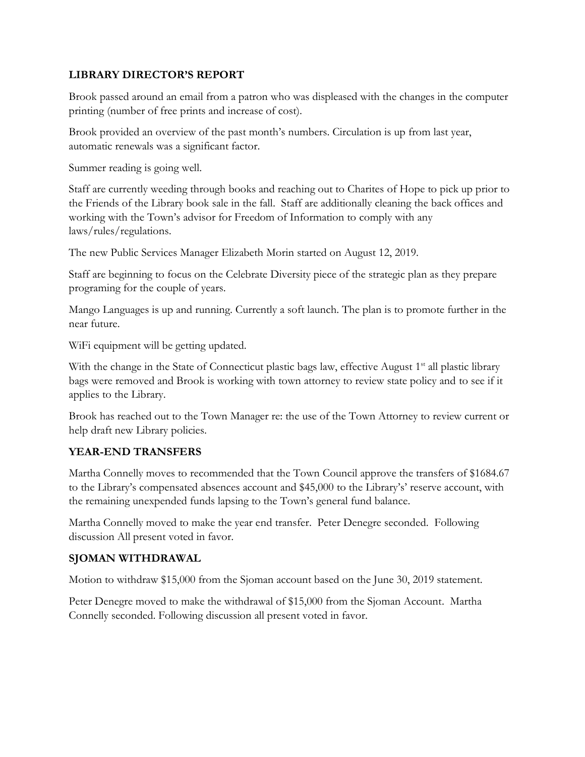#### **LIBRARY DIRECTOR'S REPORT**

Brook passed around an email from a patron who was displeased with the changes in the computer printing (number of free prints and increase of cost).

Brook provided an overview of the past month's numbers. Circulation is up from last year, automatic renewals was a significant factor.

Summer reading is going well.

Staff are currently weeding through books and reaching out to Charites of Hope to pick up prior to the Friends of the Library book sale in the fall. Staff are additionally cleaning the back offices and working with the Town's advisor for Freedom of Information to comply with any laws/rules/regulations.

The new Public Services Manager Elizabeth Morin started on August 12, 2019.

Staff are beginning to focus on the Celebrate Diversity piece of the strategic plan as they prepare programing for the couple of years.

Mango Languages is up and running. Currently a soft launch. The plan is to promote further in the near future.

WiFi equipment will be getting updated.

With the change in the State of Connecticut plastic bags law, effective August 1<sup>st</sup> all plastic library bags were removed and Brook is working with town attorney to review state policy and to see if it applies to the Library.

Brook has reached out to the Town Manager re: the use of the Town Attorney to review current or help draft new Library policies.

### **YEAR-END TRANSFERS**

Martha Connelly moves to recommended that the Town Council approve the transfers of \$1684.67 to the Library's compensated absences account and \$45,000 to the Library's' reserve account, with the remaining unexpended funds lapsing to the Town's general fund balance.

Martha Connelly moved to make the year end transfer. Peter Denegre seconded. Following discussion All present voted in favor.

### **SJOMAN WITHDRAWAL**

Motion to withdraw \$15,000 from the Sjoman account based on the June 30, 2019 statement.

Peter Denegre moved to make the withdrawal of \$15,000 from the Sjoman Account. Martha Connelly seconded. Following discussion all present voted in favor.